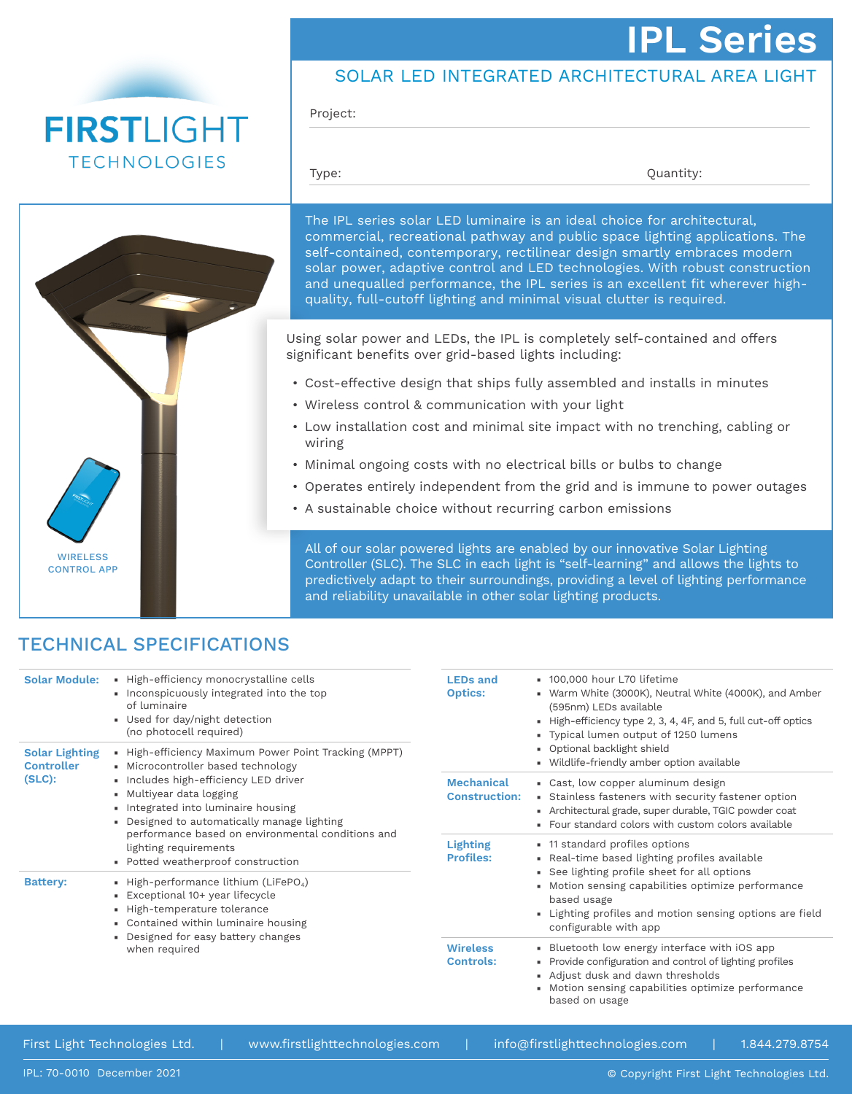# **IPL Series**





Project:

Type:  $Quantity:$ 



The IPL series solar LED luminaire is an ideal choice for architectural, commercial, recreational pathway and public space lighting applications. The self-contained, contemporary, rectilinear design smartly embraces modern solar power, adaptive control and LED technologies. With robust construction and unequalled performance, the IPL series is an excellent fit wherever highquality, full-cutoff lighting and minimal visual clutter is required.

Using solar power and LEDs, the IPL is completely self-contained and offers significant benefits over grid-based lights including:

- Cost-effective design that ships fully assembled and installs in minutes
- Wireless control & communication with your light
- Low installation cost and minimal site impact with no trenching, cabling or wiring
- Minimal ongoing costs with no electrical bills or bulbs to change
- Operates entirely independent from the grid and is immune to power outages
- A sustainable choice without recurring carbon emissions

All of our solar powered lights are enabled by our innovative Solar Lighting Controller (SLC). The SLC in each light is "self-learning" and allows the lights to predictively adapt to their surroundings, providing a level of lighting performance and reliability unavailable in other solar lighting products.

## TECHNICAL SPECIFICATIONS

| <b>Solar Module:</b>                                    | - High-efficiency monocrystalline cells<br>Inconspicuously integrated into the top<br>of luminaire<br>• Used for day/night detection<br>(no photocell required)                                                                                                                                                                                                            | <b>LEDs and</b><br><b>Optics:</b>         | ■ 100,000 hour L70 lifetime<br>• Warm White (3000K), Neutral White (4000K), and Amber<br>(595nm) LEDs available<br>High-efficiency type 2, 3, 4, 4F, and 5, full cut-off optics<br>• Typical lumen output of 1250 lumens<br>• Optional backlight shield                                   |  |
|---------------------------------------------------------|----------------------------------------------------------------------------------------------------------------------------------------------------------------------------------------------------------------------------------------------------------------------------------------------------------------------------------------------------------------------------|-------------------------------------------|-------------------------------------------------------------------------------------------------------------------------------------------------------------------------------------------------------------------------------------------------------------------------------------------|--|
| <b>Solar Lighting</b><br><b>Controller</b><br>$(SLC)$ : | - High-efficiency Maximum Power Point Tracking (MPPT)<br>• Microcontroller based technology<br>· Includes high-efficiency LED driver<br>• Multiyear data logging<br>• Integrated into luminaire housing<br>• Designed to automatically manage lighting<br>performance based on environmental conditions and<br>lighting requirements<br>• Potted weatherproof construction |                                           | • Wildlife-friendly amber option available                                                                                                                                                                                                                                                |  |
|                                                         |                                                                                                                                                                                                                                                                                                                                                                            | <b>Mechanical</b><br><b>Construction:</b> | • Cast, low copper aluminum design<br>• Stainless fasteners with security fastener option<br>• Architectural grade, super durable, TGIC powder coat<br>• Four standard colors with custom colors available                                                                                |  |
|                                                         |                                                                                                                                                                                                                                                                                                                                                                            | <b>Lighting</b><br><b>Profiles:</b>       | • 11 standard profiles options<br>• Real-time based lighting profiles available<br>• See lighting profile sheet for all options<br>• Motion sensing capabilities optimize performance<br>based usage<br>. Lighting profiles and motion sensing options are field<br>configurable with app |  |
| <b>Battery:</b>                                         | - High-performance lithium (LiFePO <sub>4</sub> )<br>Exceptional 10+ year lifecycle<br>- High-temperature tolerance<br>• Contained within luminaire housing<br>Designed for easy battery changes<br>when required                                                                                                                                                          |                                           |                                                                                                                                                                                                                                                                                           |  |
|                                                         |                                                                                                                                                                                                                                                                                                                                                                            | <b>Wireless</b><br><b>Controls:</b>       | • Bluetooth low energy interface with iOS app<br>• Provide configuration and control of lighting profiles<br>Adjust dusk and dawn thresholds<br>• Motion sensing capabilities optimize performance<br>based on usage                                                                      |  |

First Light Technologies Ltd. | www.firstlighttechnologies.com | info@firstlighttechnologies.com | 1.844.279.8754